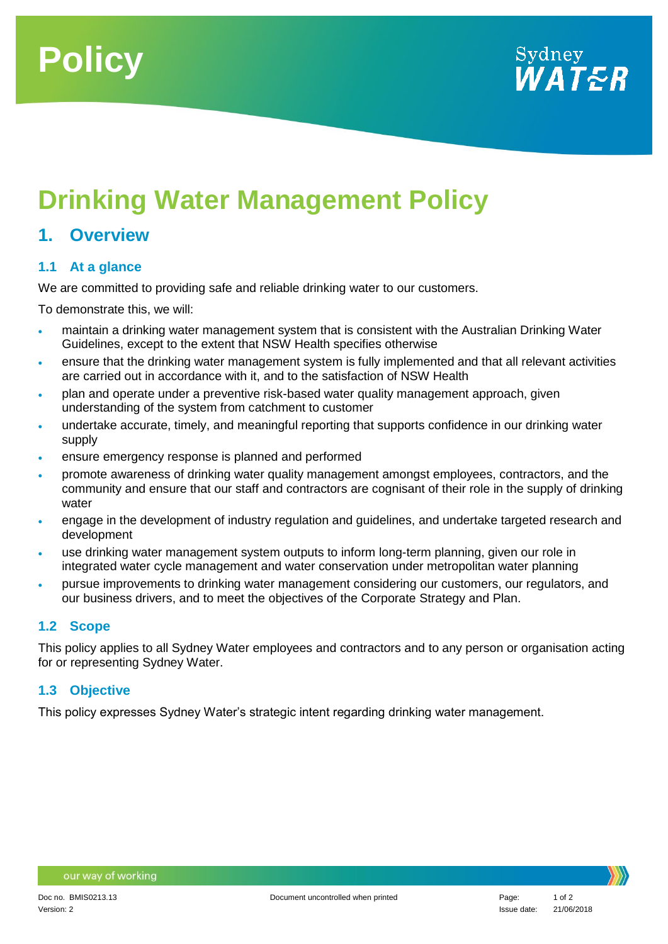



# **Drinking Water Management Policy**

### **1. Overview**

#### **1.1 At a glance**

We are committed to providing safe and reliable drinking water to our customers.

To demonstrate this, we will:

- maintain a drinking water management system that is consistent with the Australian Drinking Water Guidelines, except to the extent that NSW Health specifies otherwise
- ensure that the drinking water management system is fully implemented and that all relevant activities are carried out in accordance with it, and to the satisfaction of NSW Health
- plan and operate under a preventive risk-based water quality management approach, given understanding of the system from catchment to customer
- undertake accurate, timely, and meaningful reporting that supports confidence in our drinking water supply
- ensure emergency response is planned and performed
- promote awareness of drinking water quality management amongst employees, contractors, and the community and ensure that our staff and contractors are cognisant of their role in the supply of drinking water
- engage in the development of industry regulation and guidelines, and undertake targeted research and development
- use drinking water management system outputs to inform long-term planning, given our role in integrated water cycle management and water conservation under metropolitan water planning
- pursue improvements to drinking water management considering our customers, our regulators, and our business drivers, and to meet the objectives of the Corporate Strategy and Plan.

#### **1.2 Scope**

This policy applies to all Sydney Water employees and contractors and to any person or organisation acting for or representing Sydney Water.

#### **1.3 Objective**

This policy expresses Sydney Water's strategic intent regarding drinking water management.